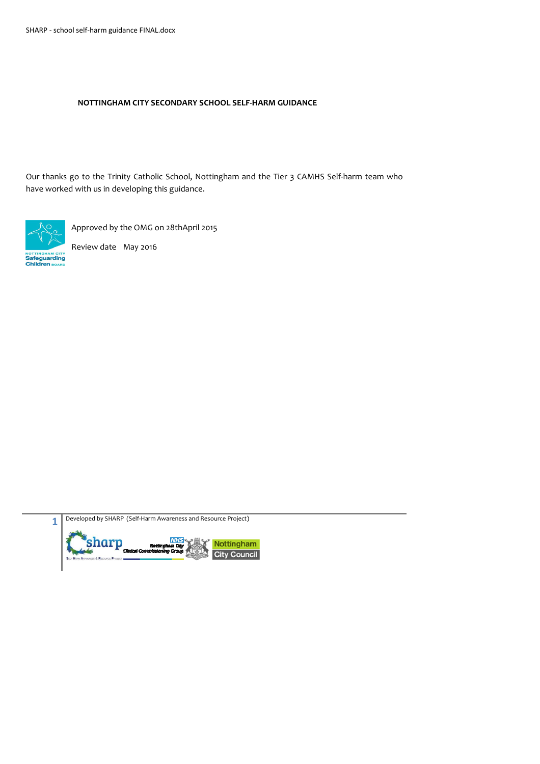#### **NOTTINGHAM CITY SECONDARY SCHOOL SELF-HARM GUIDANCE**

Our thanks go to the Trinity Catholic School, Nottingham and the Tier 3 CAMHS Self-harm team who have worked with us in developing this guidance.



Approved by the OMG on 28thApril 2015

Review date May 2016



Developed by SHARP (Self-Harm Awareness and Resource Project)

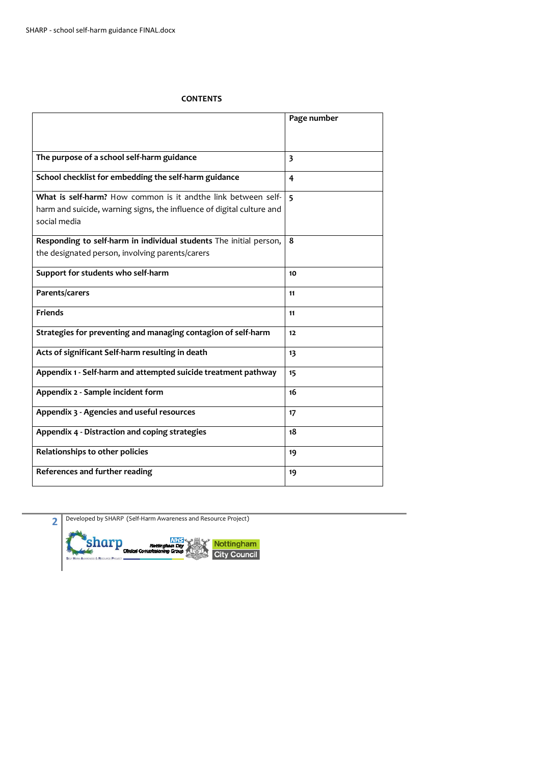#### **CONTENTS**

|                                                                                       | Page number             |
|---------------------------------------------------------------------------------------|-------------------------|
|                                                                                       |                         |
|                                                                                       |                         |
| The purpose of a school self-harm guidance                                            | $\overline{\mathbf{3}}$ |
| School checklist for embedding the self-harm guidance                                 | 4                       |
| What is self-harm? How common is it and the link between self-                        | $\overline{5}$          |
| harm and suicide, warning signs, the influence of digital culture and<br>social media |                         |
| Responding to self-harm in individual students The initial person,                    | 8                       |
| the designated person, involving parents/carers                                       |                         |
| Support for students who self-harm                                                    | 10                      |
| Parents/carers                                                                        | 11                      |
| <b>Friends</b>                                                                        | 11                      |
| Strategies for preventing and managing contagion of self-harm                         | 12                      |
| Acts of significant Self-harm resulting in death                                      | 13                      |
| Appendix 1 - Self-harm and attempted suicide treatment pathway                        | 15                      |
| Appendix 2 - Sample incident form                                                     | 16                      |
| Appendix 3 - Agencies and useful resources                                            | 17                      |
| Appendix 4 - Distraction and coping strategies                                        | 18                      |
| Relationships to other policies                                                       | 19                      |
| References and further reading                                                        | 19                      |

**2** Developed by SHARP (Self-Harm Awareness and Resource Project)

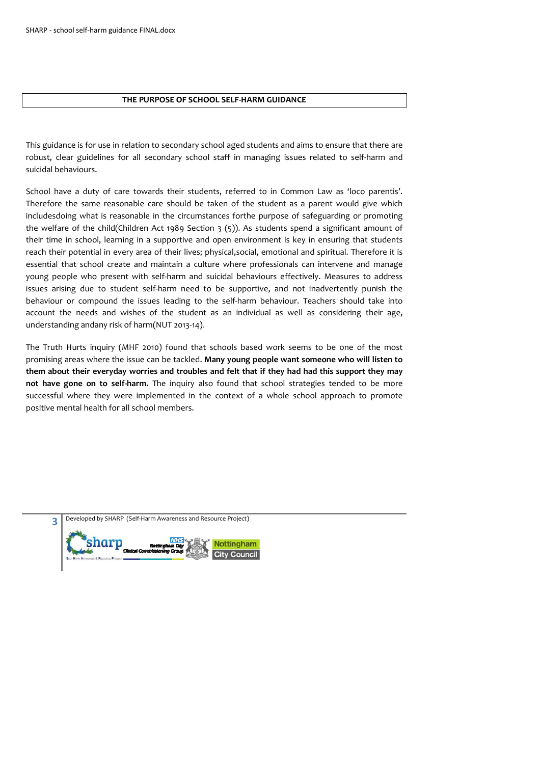#### **THE PURPOSE OF SCHOOL SELF-HARM GUIDANCE**

This guidance is for use in relation to secondary school aged students and aims to ensure that there are robust, clear guidelines for all secondary school staff in managing issues related to self-harm and suicidal behaviours.

School have a duty of care towards their students, referred to in Common Law as 'loco parentis'. Therefore the same reasonable care should be taken of the student as a parent would give which includesdoing what is reasonable in the circumstances forthe purpose of safeguarding or promoting the welfare of the child(Children Act 1989 Section 3 (5)). As students spend a significant amount of their time in school, learning in a supportive and open environment is key in ensuring that students reach their potential in every area of their lives; physical,social, emotional and spiritual. Therefore it is essential that school create and maintain a culture where professionals can intervene and manage young people who present with self-harm and suicidal behaviours effectively. Measures to address issues arising due to student self-harm need to be supportive, and not inadvertently punish the behaviour or compound the issues leading to the self-harm behaviour. Teachers should take into account the needs and wishes of the student as an individual as well as considering their age, understanding andany risk of harm(NUT 2013-14).

The Truth Hurts inquiry (MHF 2010) found that schools based work seems to be one of the most promising areas where the issue can be tackled. **Many young people want someone who will listen to them about their everyday worries and troubles and felt that if they had had this support they may not have gone on to self-harm.** The inquiry also found that school strategies tended to be more successful where they were implemented in the context of a whole school approach to promote positive mental health for all school members.

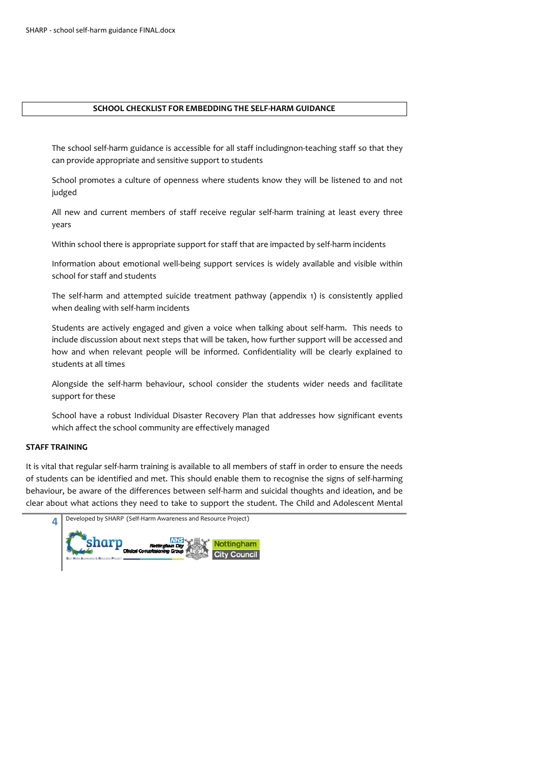#### **SCHOOL CHECKLIST FOR EMBEDDING THE SELF-HARM GUIDANCE**

The school self-harm guidance is accessible for all staff includingnon-teaching staff so that they can provide appropriate and sensitive support to students

School promotes a culture of openness where students know they will be listened to and not judged

All new and current members of staff receive regular self-harm training at least every three years

Within school there is appropriate support for staff that are impacted by self-harm incidents

Information about emotional well-being support services is widely available and visible within school for staff and students

The self-harm and attempted suicide treatment pathway (appendix 1) is consistently applied when dealing with self-harm incidents

Students are actively engaged and given a voice when talking about self-harm. This needs to include discussion about next steps that will be taken, how further support will be accessed and how and when relevant people will be informed. Confidentiality will be clearly explained to students at all times

Alongside the self-harm behaviour, school consider the students wider needs and facilitate support for these

School have a robust Individual Disaster Recovery Plan that addresses how significant events which affect the school community are effectively managed

#### **STAFF TRAINING**

It is vital that regular self-harm training is available to all members of staff in order to ensure the needs of students can be identified and met. This should enable them to recognise the signs of self-harming behaviour, be aware of the differences between self-harm and suicidal thoughts and ideation, and be clear about what actions they need to take to support the student. The Child and Adolescent Mental

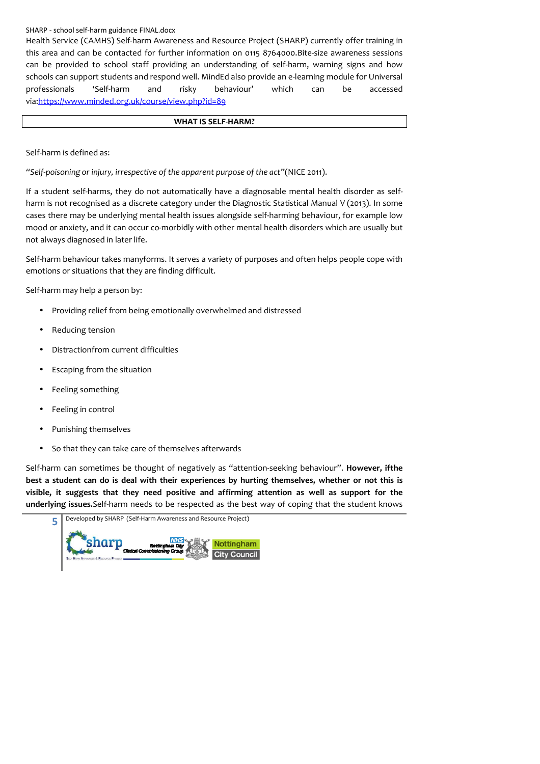Health Service (CAMHS) Self-harm Awareness and Resource Project (SHARP) currently offer training in this area and can be contacted for further information on 0115 8764000.Bite-size awareness sessions can be provided to school staff providing an understanding of self-harm, warning signs and how schools can support students and respond well. MindEd also provide an e-learning module for Universal professionals 'Self-harm and risky behaviour' which can be accessed via:https://www.minded.org.uk/course/view.php?id=89

#### **WHAT IS SELF-HARM?**

Self-harm is defined as:

*"Self-poisoning or injury, irrespective of the apparent purpose of the act"*(NICE 2011).

If a student self-harms, they do not automatically have a diagnosable mental health disorder as selfharm is not recognised as a discrete category under the Diagnostic Statistical Manual V (2013). In some cases there may be underlying mental health issues alongside self-harming behaviour, for example low mood or anxiety, and it can occur co-morbidly with other mental health disorders which are usually but not always diagnosed in later life.

Self-harm behaviour takes manyforms. It serves a variety of purposes and often helps people cope with emotions or situations that they are finding difficult.

Self-harm may help a person by:

- Providing relief from being emotionally overwhelmed and distressed
- Reducing tension
- Distractionfrom current difficulties
- Escaping from the situation
- Feeling something
- Feeling in control
- Punishing themselves
- So that they can take care of themselves afterwards

Self-harm can sometimes be thought of negatively as "attention-seeking behaviour". **However, ifthe best a student can do is deal with their experiences by hurting themselves, whether or not this is visible, it suggests that they need positive and affirming attention as well as support for the underlying issues.**Self-harm needs to be respected as the best way of coping that the student knows

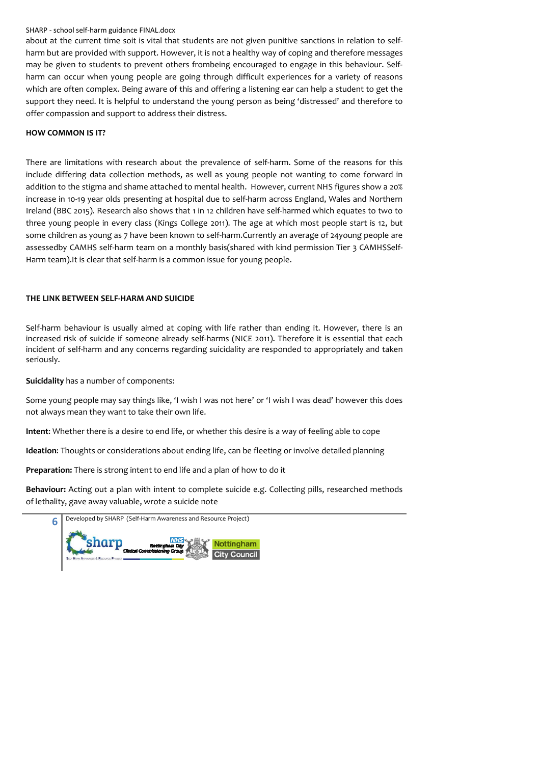about at the current time soit is vital that students are not given punitive sanctions in relation to selfharm but are provided with support. However, it is not a healthy way of coping and therefore messages may be given to students to prevent others frombeing encouraged to engage in this behaviour. Selfharm can occur when young people are going through difficult experiences for a variety of reasons which are often complex. Being aware of this and offering a listening ear can help a student to get the support they need. It is helpful to understand the young person as being 'distressed' and therefore to offer compassion and support to address their distress.

#### **HOW COMMON IS IT?**

There are limitations with research about the prevalence of self-harm. Some of the reasons for this include differing data collection methods, as well as young people not wanting to come forward in addition to the stigma and shame attached to mental health. However, current NHS figures show a 20% increase in 10-19 year olds presenting at hospital due to self-harm across England, Wales and Northern Ireland (BBC 2015). Research also shows that 1 in 12 children have self-harmed which equates to two to three young people in every class (Kings College 2011). The age at which most people start is 12, but some children as young as 7 have been known to self-harm.Currently an average of 24young people are assessedby CAMHS self-harm team on a monthly basis(shared with kind permission Tier 3 CAMHSSelf-Harm team).It is clear that self-harm is a common issue for young people.

#### **THE LINK BETWEEN SELF-HARM AND SUICIDE**

Self-harm behaviour is usually aimed at coping with life rather than ending it. However, there is an increased risk of suicide if someone already self-harms (NICE 2011). Therefore it is essential that each incident of self-harm and any concerns regarding suicidality are responded to appropriately and taken seriously.

**Suicidality** has a number of components:

Some young people may say things like, 'I wish I was not here' or 'I wish I was dead' however this does not always mean they want to take their own life.

**Intent**: Whether there is a desire to end life, or whether this desire is a way of feeling able to cope

**Ideation**: Thoughts or considerations about ending life, can be fleeting or involve detailed planning

**Preparation:** There is strong intent to end life and a plan of how to do it

**Behaviour:** Acting out a plan with intent to complete suicide e.g. Collecting pills, researched methods of lethality, gave away valuable, wrote a suicide note

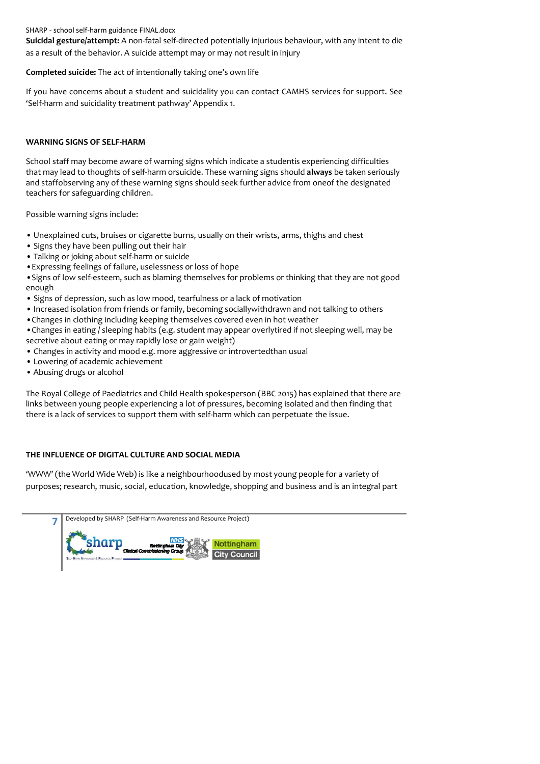**Suicidal gesture/attempt:** A non-fatal self-directed potentially injurious behaviour, with any intent to die as a result of the behavior. A suicide attempt may or may not result in injury

#### **Completed suicide:** The act of intentionally taking one's own life

If you have concerns about a student and suicidality you can contact CAMHS services for support. See 'Self-harm and suicidality treatment pathway' Appendix 1.

#### **WARNING SIGNS OF SELF-HARM**

School staff may become aware of warning signs which indicate a studentis experiencing difficulties that may lead to thoughts of self-harm orsuicide. These warning signs should **always** be taken seriously and staffobserving any of these warning signs should seek further advice from oneof the designated teachers for safeguarding children.

Possible warning signs include:

- Unexplained cuts, bruises or cigarette burns, usually on their wrists, arms, thighs and chest
- Signs they have been pulling out their hair
- Talking or joking about self-harm or suicide
- •Expressing feelings of failure, uselessness or loss of hope
- •Signs of low self-esteem, such as blaming themselves for problems or thinking that they are not good enough
- Signs of depression, such as low mood, tearfulness or a lack of motivation
- Increased isolation from friends or family, becoming sociallywithdrawn and not talking to others
- •Changes in clothing including keeping themselves covered even in hot weather

•Changes in eating / sleeping habits (e.g. student may appear overlytired if not sleeping well, may be secretive about eating or may rapidly lose or gain weight)

- Changes in activity and mood e.g. more aggressive or introvertedthan usual
- Lowering of academic achievement
- Abusing drugs or alcohol

The Royal College of Paediatrics and Child Health spokesperson (BBC 2015) has explained that there are links between young people experiencing a lot of pressures, becoming isolated and then finding that there is a lack of services to support them with self-harm which can perpetuate the issue.

# **THE INFLUENCE OF DIGITAL CULTURE AND SOCIAL MEDIA**

'WWW' (the World Wide Web) is like a neighbourhoodused by most young people for a variety of purposes; research, music, social, education, knowledge, shopping and business and is an integral part

| Developed by SHARP (Self-Harm Awareness and Resource Project)                                 |
|-----------------------------------------------------------------------------------------------|
| NHS.<br><b>Nottingham</b><br>Nottingnam City<br>Cinical Commissioning Group<br><b>Council</b> |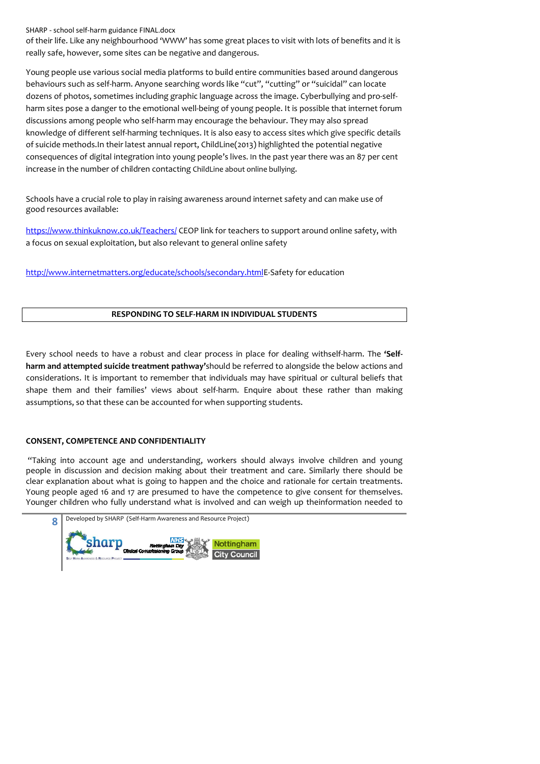of their life. Like any neighbourhood 'WWW' has some great places to visit with lots of benefits and it is really safe, however, some sites can be negative and dangerous.

Young people use various social media platforms to build entire communities based around dangerous behaviours such as self-harm. Anyone searching words like "cut", "cutting" or "suicidal" can locate dozens of photos, sometimes including graphic language across the image. Cyberbullying and pro-selfharm sites pose a danger to the emotional well-being of young people. It is possible that internet forum discussions among people who self-harm may encourage the behaviour. They may also spread knowledge of different self-harming techniques. It is also easy to access sites which give specific details of suicide methods.In their latest annual report, ChildLine(2013) highlighted the potential negative consequences of digital integration into young people's lives. In the past year there was an 87 per cent increase in the number of children contacting ChildLine about online bullying.

Schools have a crucial role to play in raising awareness around internet safety and can make use of good resources available:

https://www.thinkuknow.co.uk/Teachers/ CEOP link for teachers to support around online safety, with a focus on sexual exploitation, but also relevant to general online safety

http://www.internetmatters.org/educate/schools/secondary.htmlE-Safety for education

#### **RESPONDING TO SELF-HARM IN INDIVIDUAL STUDENTS**

Every school needs to have a robust and clear process in place for dealing withself-harm. The **'Selfharm and attempted suicide treatment pathway'**should be referred to alongside the below actions and considerations. It is important to remember that individuals may have spiritual or cultural beliefs that shape them and their families' views about self-harm. Enquire about these rather than making assumptions, so that these can be accounted for when supporting students.

#### **CONSENT, COMPETENCE AND CONFIDENTIALITY**

 "Taking into account age and understanding, workers should always involve children and young people in discussion and decision making about their treatment and care. Similarly there should be clear explanation about what is going to happen and the choice and rationale for certain treatments. Young people aged 16 and 17 are presumed to have the competence to give consent for themselves. Younger children who fully understand what is involved and can weigh up theinformation needed to

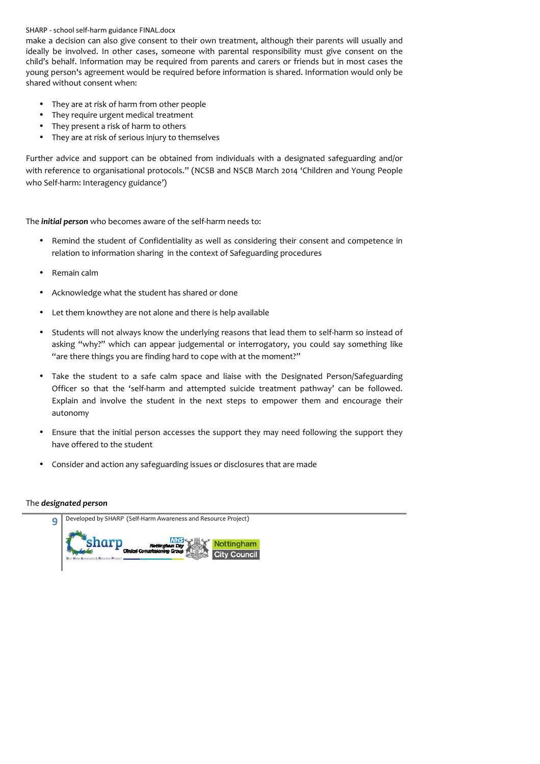make a decision can also give consent to their own treatment, although their parents will usually and ideally be involved. In other cases, someone with parental responsibility must give consent on the child's behalf. Information may be required from parents and carers or friends but in most cases the young person's agreement would be required before information is shared. Information would only be shared without consent when:

- They are at risk of harm from other people
- They require urgent medical treatment
- They present a risk of harm to others
- They are at risk of serious injury to themselves

Further advice and support can be obtained from individuals with a designated safeguarding and/or with reference to organisational protocols." (NCSB and NSCB March 2014 'Children and Young People who Self-harm: Interagency guidance')

The *initial person* who becomes aware of the self-harm needs to:

- Remind the student of Confidentiality as well as considering their consent and competence in relation to information sharing in the context of Safeguarding procedures
- Remain calm
- Acknowledge what the student has shared or done
- Let them knowthey are not alone and there is help available
- Students will not always know the underlying reasons that lead them to self-harm so instead of asking "why?" which can appear judgemental or interrogatory, you could say something like "are there things you are finding hard to cope with at the moment?"
- Take the student to a safe calm space and liaise with the Designated Person/Safeguarding Officer so that the 'self-harm and attempted suicide treatment pathway' can be followed. Explain and involve the student in the next steps to empower them and encourage their autonomy
- Ensure that the initial person accesses the support they may need following the support they have offered to the student
- Consider and action any safeguarding issues or disclosures that are made

#### The *designated person*

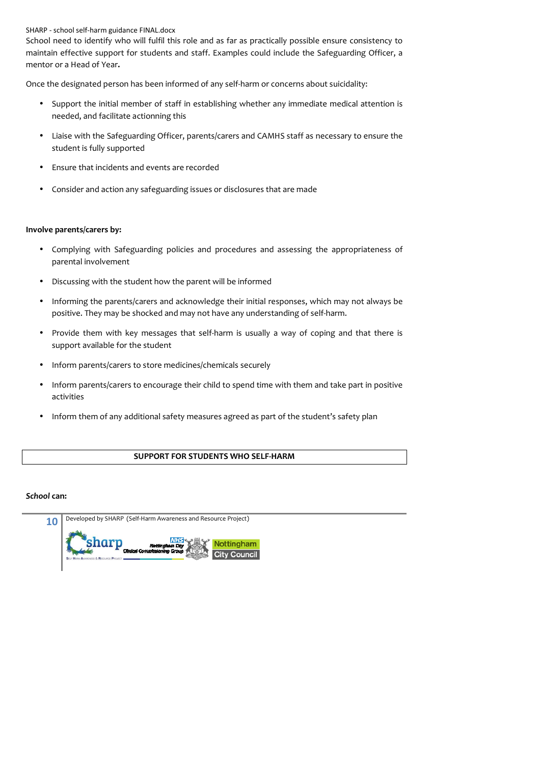School need to identify who will fulfil this role and as far as practically possible ensure consistency to maintain effective support for students and staff. Examples could include the Safeguarding Officer, a mentor or a Head of Year**.** 

Once the designated person has been informed of any self-harm or concerns about suicidality:

- Support the initial member of staff in establishing whether any immediate medical attention is needed, and facilitate actionning this
- Liaise with the Safeguarding Officer, parents/carers and CAMHS staff as necessary to ensure the student is fully supported
- Ensure that incidents and events are recorded
- Consider and action any safeguarding issues or disclosures that are made

#### **Involve parents/carers by:**

- Complying with Safeguarding policies and procedures and assessing the appropriateness of parental involvement
- Discussing with the student how the parent will be informed
- Informing the parents/carers and acknowledge their initial responses, which may not always be positive. They may be shocked and may not have any understanding of self-harm.
- Provide them with key messages that self-harm is usually a way of coping and that there is support available for the student
- Inform parents/carers to store medicines/chemicals securely
- Inform parents/carers to encourage their child to spend time with them and take part in positive activities
- Inform them of any additional safety measures agreed as part of the student's safety plan

# **SUPPORT FOR STUDENTS WHO SELF-HARM**

#### *School* **can:**

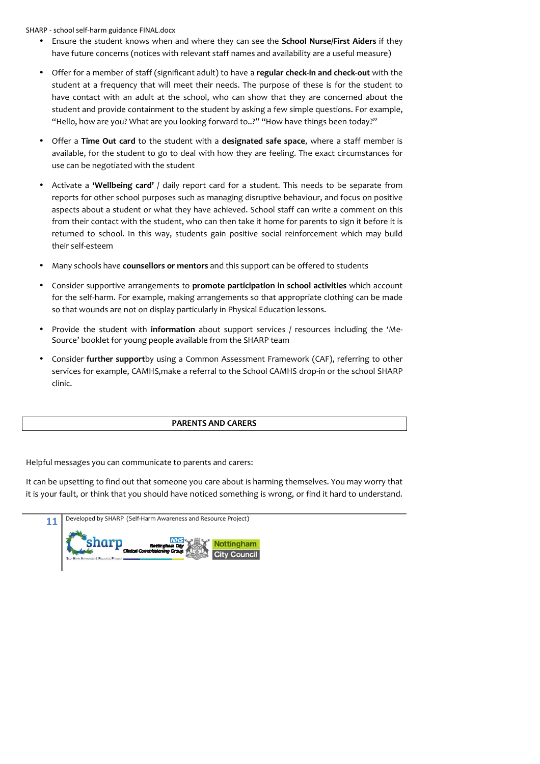- Ensure the student knows when and where they can see the **School Nurse/First Aiders** if they have future concerns (notices with relevant staff names and availability are a useful measure)
- Offer for a member of staff (significant adult) to have a **regular check-in and check-out** with the student at a frequency that will meet their needs. The purpose of these is for the student to have contact with an adult at the school, who can show that they are concerned about the student and provide containment to the student by asking a few simple questions. For example, "Hello, how are you? What are you looking forward to..?" "How have things been today?"
- Offer a **Time Out card** to the student with a **designated safe space**, where a staff member is available, for the student to go to deal with how they are feeling. The exact circumstances for use can be negotiated with the student
- Activate a **'Wellbeing card'** / daily report card for a student. This needs to be separate from reports for other school purposes such as managing disruptive behaviour, and focus on positive aspects about a student or what they have achieved. School staff can write a comment on this from their contact with the student, who can then take it home for parents to sign it before it is returned to school. In this way, students gain positive social reinforcement which may build their self-esteem
- Many schools have **counsellors or mentors** and this support can be offered to students
- Consider supportive arrangements to **promote participation in school activities** which account for the self-harm. For example, making arrangements so that appropriate clothing can be made so that wounds are not on display particularly in Physical Education lessons.
- Provide the student with **information** about support services / resources including the 'Me-Source' booklet for young people available from the SHARP team
- Consider **further support**by using a Common Assessment Framework (CAF), referring to other services for example, CAMHS,make a referral to the School CAMHS drop-in or the school SHARP clinic.

#### **PARENTS AND CARERS**

Helpful messages you can communicate to parents and carers:

It can be upsetting to find out that someone you care about is harming themselves. You may worry that it is your fault, or think that you should have noticed something is wrong, or find it hard to understand.

| Developed by SHARP (Self-Harm Awareness and Resource Project)           |  |
|-------------------------------------------------------------------------|--|
| Nottingham<br>Nottingham City<br>Cinical Commissioning Group<br>Council |  |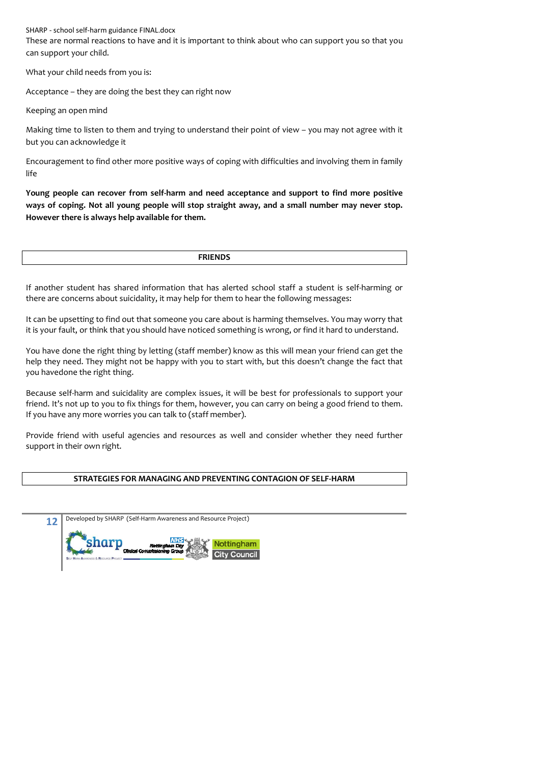These are normal reactions to have and it is important to think about who can support you so that you can support your child.

What your child needs from you is:

Acceptance – they are doing the best they can right now

Keeping an open mind

Making time to listen to them and trying to understand their point of view – you may not agree with it but you can acknowledge it

Encouragement to find other more positive ways of coping with difficulties and involving them in family life

**Young people can recover from self-harm and need acceptance and support to find more positive ways of coping. Not all young people will stop straight away, and a small number may never stop. However there is always help available for them.** 

**FRIENDS**

If another student has shared information that has alerted school staff a student is self-harming or there are concerns about suicidality, it may help for them to hear the following messages:

It can be upsetting to find out that someone you care about is harming themselves. You may worry that it is your fault, or think that you should have noticed something is wrong, or find it hard to understand.

You have done the right thing by letting (staff member) know as this will mean your friend can get the help they need. They might not be happy with you to start with, but this doesn't change the fact that you havedone the right thing.

Because self-harm and suicidality are complex issues, it will be best for professionals to support your friend. It's not up to you to fix things for them, however, you can carry on being a good friend to them. If you have any more worries you can talk to (staff member).

Provide friend with useful agencies and resources as well and consider whether they need further support in their own right.

#### **STRATEGIES FOR MANAGING AND PREVENTING CONTAGION OF SELF-HARM**

| 12 | Developed by SHARP (Self-Harm Awareness and Resource Project)                                           |
|----|---------------------------------------------------------------------------------------------------------|
|    | Nottingham<br>Nottingham City<br>Cinical Commissioning Group<br><b>Council</b><br>unes & Resnuence Pan. |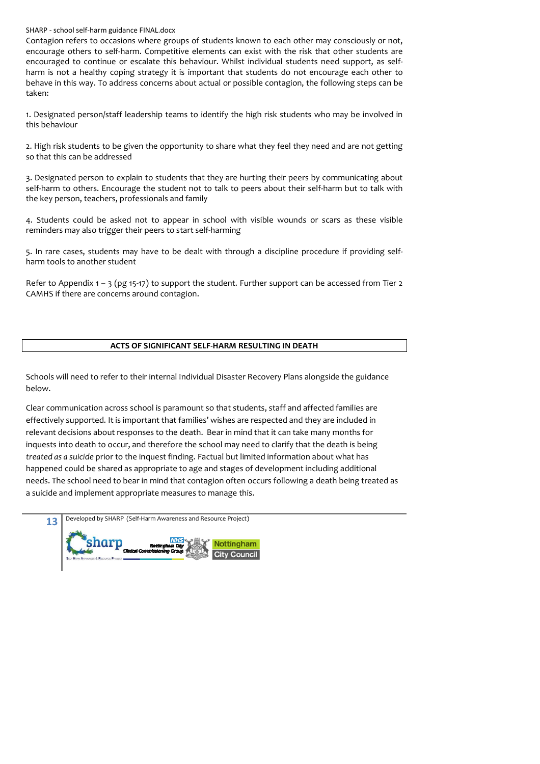Contagion refers to occasions where groups of students known to each other may consciously or not, encourage others to self-harm. Competitive elements can exist with the risk that other students are encouraged to continue or escalate this behaviour. Whilst individual students need support, as selfharm is not a healthy coping strategy it is important that students do not encourage each other to behave in this way. To address concerns about actual or possible contagion, the following steps can be taken:

1. Designated person/staff leadership teams to identify the high risk students who may be involved in this behaviour

2. High risk students to be given the opportunity to share what they feel they need and are not getting so that this can be addressed

3. Designated person to explain to students that they are hurting their peers by communicating about self-harm to others. Encourage the student not to talk to peers about their self-harm but to talk with the key person, teachers, professionals and family

4. Students could be asked not to appear in school with visible wounds or scars as these visible reminders may also trigger their peers to start self-harming

5. In rare cases, students may have to be dealt with through a discipline procedure if providing selfharm tools to another student

Refer to Appendix  $1 - 3$  (pg 15-17) to support the student. Further support can be accessed from Tier 2 CAMHS if there are concerns around contagion.

#### **ACTS OF SIGNIFICANT SELF-HARM RESULTING IN DEATH**

Schools will need to refer to their internal Individual Disaster Recovery Plans alongside the guidance below.

Clear communication across school is paramount so that students, staff and affected families are effectively supported. It is important that families' wishes are respected and they are included in relevant decisions about responses to the death. Bear in mind that it can take many months for inquests into death to occur, and therefore the school may need to clarify that the death is being *treated as a suicide* prior to the inquest finding. Factual but limited information about what has happened could be shared as appropriate to age and stages of development including additional needs. The school need to bear in mind that contagion often occurs following a death being treated as a suicide and implement appropriate measures to manage this.

| 13 | Developed by SHARP (Self-Harm Awareness and Resource Project)                              |
|----|--------------------------------------------------------------------------------------------|
|    | <b>NHS</b><br>Nottingham<br>Nottingham City<br>Cinical Commissioning Group<br>City Council |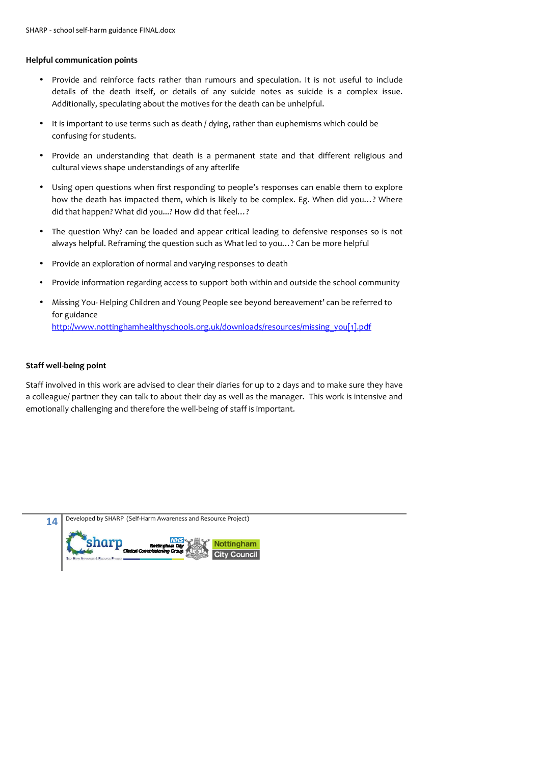#### **Helpful communication points**

- Provide and reinforce facts rather than rumours and speculation. It is not useful to include details of the death itself, or details of any suicide notes as suicide is a complex issue. Additionally, speculating about the motives for the death can be unhelpful.
- It is important to use terms such as death / dying, rather than euphemisms which could be confusing for students.
- Provide an understanding that death is a permanent state and that different religious and cultural views shape understandings of any afterlife
- Using open questions when first responding to people's responses can enable them to explore how the death has impacted them, which is likely to be complex. Eg. When did you…? Where did that happen? What did you...? How did that feel…?
- The question Why? can be loaded and appear critical leading to defensive responses so is not always helpful. Reframing the question such as What led to you…? Can be more helpful
- Provide an exploration of normal and varying responses to death
- Provide information regarding access to support both within and outside the school community
- Missing You- Helping Children and Young People see beyond bereavement' can be referred to for guidance

http://www.nottinghamhealthyschools.org.uk/downloads/resources/missing\_you[1].pdf

#### **Staff well-being point**

Staff involved in this work are advised to clear their diaries for up to 2 days and to make sure they have a colleague/ partner they can talk to about their day as well as the manager. This work is intensive and emotionally challenging and therefore the well-being of staff is important.

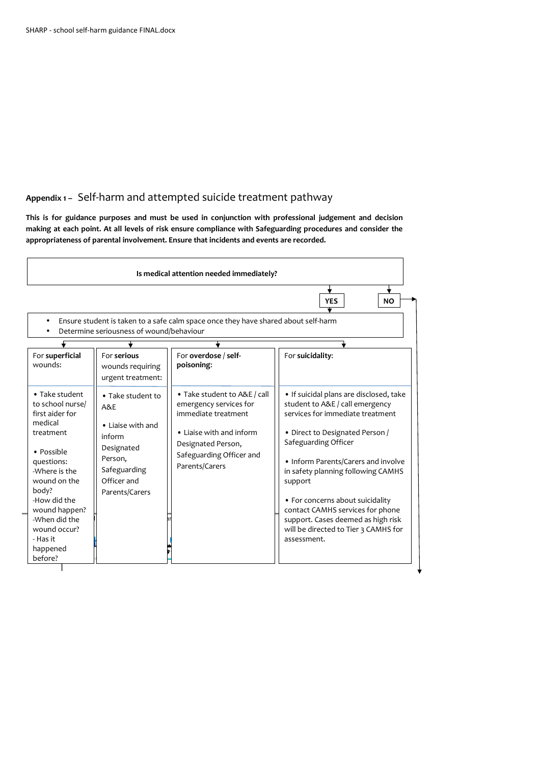# **Appendix 1 –** Self-harm and attempted suicide treatment pathway

**This is for guidance purposes and must be used in conjunction with professional judgement and decision making at each point. At all levels of risk ensure compliance with Safeguarding procedures and consider the appropriateness of parental involvement. Ensure that incidents and events are recorded.**

|                                                                                                                                                                                                                                                          |                                                                                                                                   | Is medical attention needed immediately?                                                                                                                                      | <b>YES</b><br><b>NO</b>                                                                                                                                                                                                                                                                                                                                                                                                                |
|----------------------------------------------------------------------------------------------------------------------------------------------------------------------------------------------------------------------------------------------------------|-----------------------------------------------------------------------------------------------------------------------------------|-------------------------------------------------------------------------------------------------------------------------------------------------------------------------------|----------------------------------------------------------------------------------------------------------------------------------------------------------------------------------------------------------------------------------------------------------------------------------------------------------------------------------------------------------------------------------------------------------------------------------------|
|                                                                                                                                                                                                                                                          | Determine seriousness of wound/behaviour                                                                                          | Ensure student is taken to a safe calm space once they have shared about self-harm                                                                                            |                                                                                                                                                                                                                                                                                                                                                                                                                                        |
| For superficial<br>wounds:                                                                                                                                                                                                                               | For serious<br>wounds requiring<br>urgent treatment:                                                                              | For overdose / self-<br>poisoning:                                                                                                                                            | For suicidality:                                                                                                                                                                                                                                                                                                                                                                                                                       |
| • Take student<br>to school nurse/<br>first aider for<br>medical<br>treatment<br>• Possible<br>questions:<br>-Where is the<br>wound on the<br>body?<br>-How did the<br>wound happen?<br>-When did the<br>wound occur?<br>- Has it<br>happened<br>before? | • Take student to<br>A&E<br>• Liaise with and<br>inform<br>Designated<br>Person,<br>Safeguarding<br>Officer and<br>Parents/Carers | • Take student to A&E / call<br>emergency services for<br>immediate treatment<br>• Liaise with and inform<br>Designated Person,<br>Safeguarding Officer and<br>Parents/Carers | • If suicidal plans are disclosed, take<br>student to A&E / call emergency<br>services for immediate treatment<br>• Direct to Designated Person /<br>Safeguarding Officer<br>• Inform Parents/Carers and involve<br>in safety planning following CAMHS<br>support<br>• For concerns about suicidality<br>contact CAMHS services for phone<br>support. Cases deemed as high risk<br>will be directed to Tier 3 CAMHS for<br>assessment. |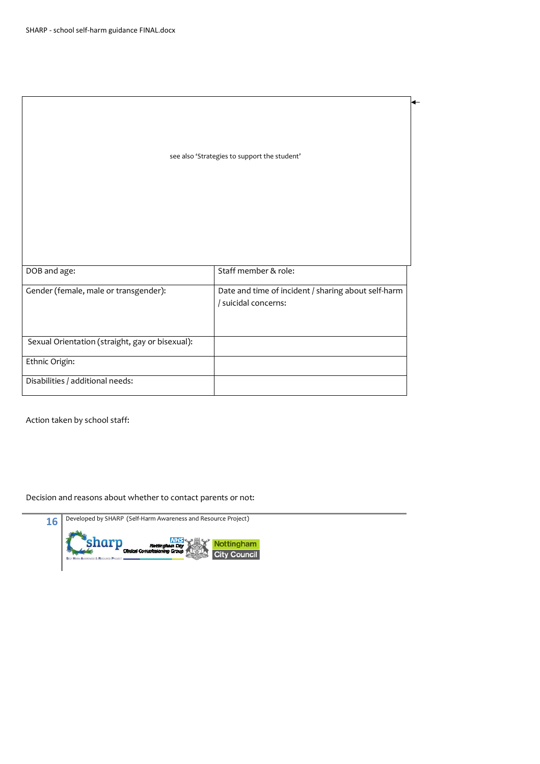|                                                 | see also 'Strategies to support the student'                                |
|-------------------------------------------------|-----------------------------------------------------------------------------|
|                                                 |                                                                             |
| DOB and age:                                    | Staff member & role:                                                        |
| Gender (female, male or transgender):           | Date and time of incident / sharing about self-harm<br>/ suicidal concerns: |
| Sexual Orientation (straight, gay or bisexual): |                                                                             |
| Ethnic Origin:                                  |                                                                             |
| Disabilities / additional needs:                |                                                                             |

Action taken by school staff:

Decision and reasons about whether to contact parents or not:

**16** Developed by SHARP (Self-Harm Awareness and Resource Project) **NHS**<br>Sham City<br>The Group  $\frac{\text{sharp}}{\text{f}}$ Nottingham **City Council**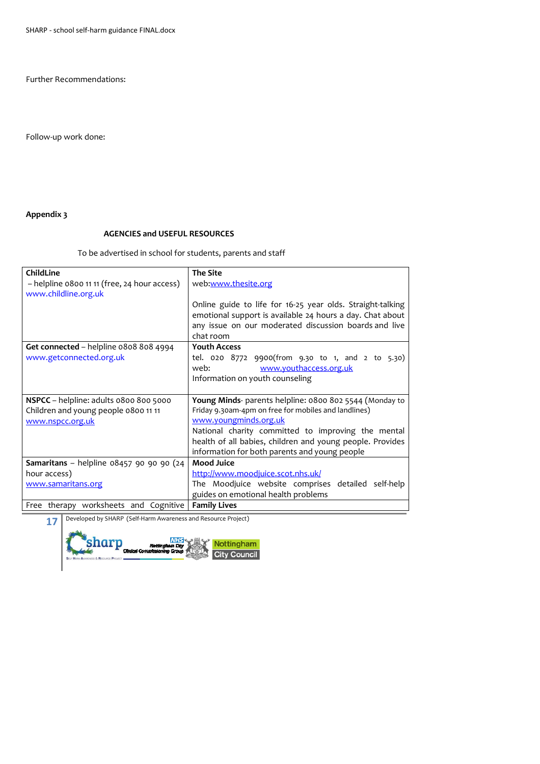Further Recommendations:

Follow-up work done:

# **Appendix 3**

# **AGENCIES and USEFUL RESOURCES**

To be advertised in school for students, parents and staff

| ChildLine                                                                                          | <b>The Site</b>                                                                                                                                                                                                                                                                                              |
|----------------------------------------------------------------------------------------------------|--------------------------------------------------------------------------------------------------------------------------------------------------------------------------------------------------------------------------------------------------------------------------------------------------------------|
| - helpline 0800 11 11 (free, 24 hour access)<br>www.childline.org.uk                               | web:www.thesite.org                                                                                                                                                                                                                                                                                          |
|                                                                                                    | Online guide to life for 16-25 year olds. Straight-talking<br>emotional support is available 24 hours a day. Chat about<br>any issue on our moderated discussion boards and live<br>chat room                                                                                                                |
| Get connected – helpline 0808 808 4994                                                             | <b>Youth Access</b>                                                                                                                                                                                                                                                                                          |
| www.getconnected.org.uk                                                                            | tel. $020\ 8772\ 9900$ (from $9.30\ t0$ 1, and 2 to 5.30)<br>www.youthaccess.org.uk<br>web:                                                                                                                                                                                                                  |
|                                                                                                    | Information on youth counseling                                                                                                                                                                                                                                                                              |
| NSPCC - helpline: adults 0800 800 5000<br>Children and young people 0800 11 11<br>www.nspcc.org.uk | Young Minds- parents helpline: 0800 802 5544 (Monday to<br>Friday 9.30am-4pm on free for mobiles and landlines)<br>www.youngminds.org.uk<br>National charity committed to improving the mental<br>health of all babies, children and young people. Provides<br>information for both parents and young people |
| <b>Samaritans</b> - helpline $08457$ 90 90 90 (24                                                  | <b>Mood Juice</b>                                                                                                                                                                                                                                                                                            |
| hour access)                                                                                       | http://www.moodjuice.scot.nhs.uk/                                                                                                                                                                                                                                                                            |
| www.samaritans.org                                                                                 | The Moodjuice website comprises detailed self-help                                                                                                                                                                                                                                                           |
|                                                                                                    | guides on emotional health problems                                                                                                                                                                                                                                                                          |
| Free therapy worksheets and Cognitive                                                              | <b>Family Lives</b>                                                                                                                                                                                                                                                                                          |

**17** Developed by SHARP (Self-Harm Awareness and Resource Project)

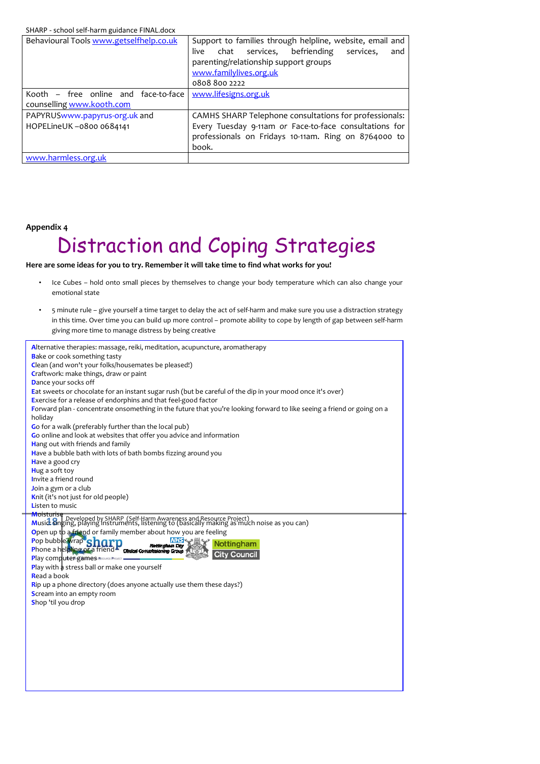| Behavioural Tools www.getselfhelp.co.uk                           | Support to families through helpline, website, email and<br>chat services, befriending<br>live<br>services.<br>and<br>parenting/relationship support groups<br>www.familylives.org.uk<br>08088002222 |
|-------------------------------------------------------------------|------------------------------------------------------------------------------------------------------------------------------------------------------------------------------------------------------|
| Kooth – free online and face-to-face<br>counselling www.kooth.com | www.lifesigns.org.uk                                                                                                                                                                                 |
| PAPYRUSwww.papyrus-org.uk and<br>HOPELineUK-0800 0684141          | CAMHS SHARP Telephone consultations for professionals:<br>Every Tuesday 9-11am or Face-to-face consultations for<br>professionals on Fridays 10-11am. Ring on 8764000 to<br>book.                    |
| www.harmless.org.uk                                               |                                                                                                                                                                                                      |

#### **Appendix 4**

# Distraction and Coping Strategies

# **Here are some ideas for you to try. Remember it will take time to find what works for you!**

- Ice Cubes hold onto small pieces by themselves to change your body temperature which can also change your emotional state
- 5 minute rule give yourself a time target to delay the act of self-harm and make sure you use a distraction strategy in this time. Over time you can build up more control – promote ability to cope by length of gap between self-harm giving more time to manage distress by being creative

| <b>Bake or cook something tasty</b>                                                                                                                                                            |
|------------------------------------------------------------------------------------------------------------------------------------------------------------------------------------------------|
|                                                                                                                                                                                                |
| Clean (and won't your folks/housemates be pleased!)                                                                                                                                            |
| Craftwork: make things, draw or paint                                                                                                                                                          |
| Dance your socks off                                                                                                                                                                           |
| Eat sweets or chocolate for an instant sugar rush (but be careful of the dip in your mood once it's over)                                                                                      |
| Exercise for a release of endorphins and that feel-good factor                                                                                                                                 |
| Forward plan - concentrate onsomething in the future that you're looking forward to like seeing a friend or going on a<br>holiday                                                              |
| Go for a walk (preferably further than the local pub)                                                                                                                                          |
| Go online and look at websites that offer you advice and information                                                                                                                           |
| Hang out with friends and family                                                                                                                                                               |
| Have a bubble bath with lots of bath bombs fizzing around you                                                                                                                                  |
| Have a good cry                                                                                                                                                                                |
| Hug a soft toy                                                                                                                                                                                 |
| Invite a friend round                                                                                                                                                                          |
| Join a gym or a club                                                                                                                                                                           |
| Knit (it's not just for old people)                                                                                                                                                            |
| <b>Listen to music</b>                                                                                                                                                                         |
| Moisturise<br><b>MUISLUIST Developed by SHARP (Self-Harm Awareness and Resource Project)<br/>Musid: Singing, playing instruments, listening to (basically making as much noise as you can)</b> |
|                                                                                                                                                                                                |
| Open up to a friend or family member about how you are feeling                                                                                                                                 |
| Pop bubble wrap <sup>Sh</sup><br>Nottingham                                                                                                                                                    |
| Phone a helpline of a friend China Commissioning Group<br>Counci                                                                                                                               |
| Play computer games RESOURCE PROJECT                                                                                                                                                           |
| <b>Play with a stress ball or make one yourself</b>                                                                                                                                            |
| Read a book                                                                                                                                                                                    |
| Rip up a phone directory (does anyone actually use them these days?)                                                                                                                           |
| Scream into an empty room                                                                                                                                                                      |
| Shop 'til you drop                                                                                                                                                                             |
|                                                                                                                                                                                                |
|                                                                                                                                                                                                |
|                                                                                                                                                                                                |
|                                                                                                                                                                                                |
|                                                                                                                                                                                                |
|                                                                                                                                                                                                |
|                                                                                                                                                                                                |
|                                                                                                                                                                                                |
|                                                                                                                                                                                                |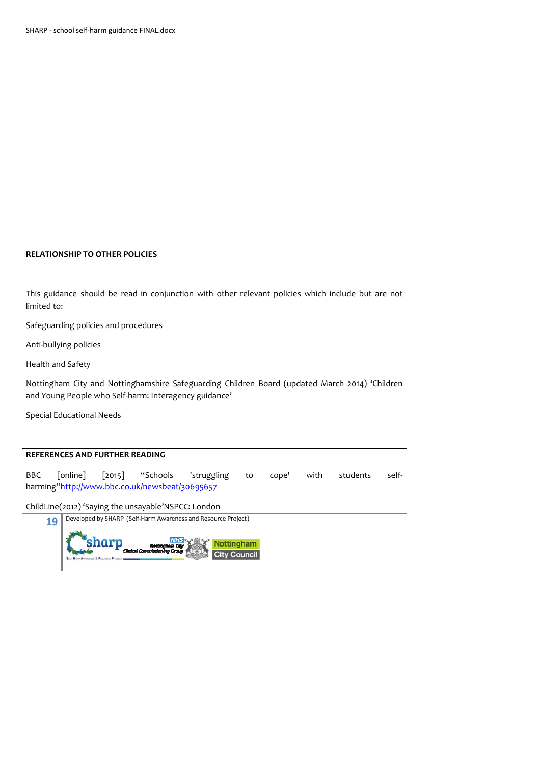#### **RELATIONSHIP TO OTHER POLICIES**

This guidance should be read in conjunction with other relevant policies which include but are not limited to:

Safeguarding policies and procedures

Anti-bullying policies

Health and Safety

Nottingham City and Nottinghamshire Safeguarding Children Board (updated March 2014) 'Children and Young People who Self-harm: Interagency guidance'

Special Educational Needs

#### **REFERENCES AND FURTHER READING**

BBC [online] [2015] "Schools 'struggling to cope' with students selfharming"http://www.bbc.co.uk/newsbeat/30695657

ChildLine(2012) 'Saying the unsayable'NSPCC: London